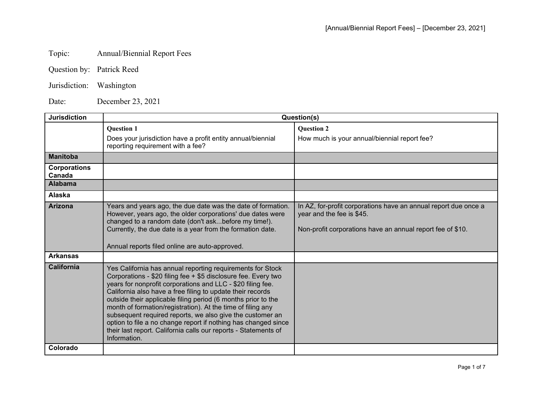## Topic: Annual/Biennial Report Fees

Jurisdiction: Washington

Date: December 23, 2021

| <b>Jurisdiction</b>           | Question(s)                                                                                                                                                                                                                                                                                                                                                                                                                                                                                                                                                                                                 |                                                                                                                                                            |
|-------------------------------|-------------------------------------------------------------------------------------------------------------------------------------------------------------------------------------------------------------------------------------------------------------------------------------------------------------------------------------------------------------------------------------------------------------------------------------------------------------------------------------------------------------------------------------------------------------------------------------------------------------|------------------------------------------------------------------------------------------------------------------------------------------------------------|
|                               | <b>Question 1</b>                                                                                                                                                                                                                                                                                                                                                                                                                                                                                                                                                                                           | <b>Question 2</b>                                                                                                                                          |
|                               | Does your jurisdiction have a profit entity annual/biennial<br>reporting requirement with a fee?                                                                                                                                                                                                                                                                                                                                                                                                                                                                                                            | How much is your annual/biennial report fee?                                                                                                               |
| <b>Manitoba</b>               |                                                                                                                                                                                                                                                                                                                                                                                                                                                                                                                                                                                                             |                                                                                                                                                            |
| <b>Corporations</b><br>Canada |                                                                                                                                                                                                                                                                                                                                                                                                                                                                                                                                                                                                             |                                                                                                                                                            |
| <b>Alabama</b>                |                                                                                                                                                                                                                                                                                                                                                                                                                                                                                                                                                                                                             |                                                                                                                                                            |
| Alaska                        |                                                                                                                                                                                                                                                                                                                                                                                                                                                                                                                                                                                                             |                                                                                                                                                            |
| <b>Arizona</b>                | Years and years ago, the due date was the date of formation.<br>However, years ago, the older corporations' due dates were<br>changed to a random date (don't askbefore my time!).<br>Currently, the due date is a year from the formation date.<br>Annual reports filed online are auto-approved.                                                                                                                                                                                                                                                                                                          | In AZ, for-profit corporations have an annual report due once a<br>year and the fee is \$45.<br>Non-profit corporations have an annual report fee of \$10. |
| <b>Arkansas</b>               |                                                                                                                                                                                                                                                                                                                                                                                                                                                                                                                                                                                                             |                                                                                                                                                            |
| <b>California</b>             | Yes California has annual reporting requirements for Stock<br>Corporations - \$20 filing fee + \$5 disclosure fee. Every two<br>years for nonprofit corporations and LLC - \$20 filing fee.<br>California also have a free filing to update their records<br>outside their applicable filing period (6 months prior to the<br>month of formation/registration). At the time of filing any<br>subsequent required reports, we also give the customer an<br>option to file a no change report if nothing has changed since<br>their last report. California calls our reports - Statements of<br>Information. |                                                                                                                                                            |
| Colorado                      |                                                                                                                                                                                                                                                                                                                                                                                                                                                                                                                                                                                                             |                                                                                                                                                            |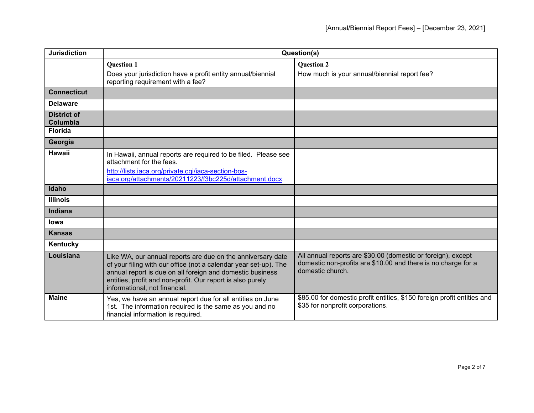| <b>Jurisdiction</b>            | Question(s)                                                                                                                                                                                                                                                                                 |                                                                                                                                                   |
|--------------------------------|---------------------------------------------------------------------------------------------------------------------------------------------------------------------------------------------------------------------------------------------------------------------------------------------|---------------------------------------------------------------------------------------------------------------------------------------------------|
|                                | <b>Question 1</b><br>Does your jurisdiction have a profit entity annual/biennial<br>reporting requirement with a fee?                                                                                                                                                                       | <b>Question 2</b><br>How much is your annual/biennial report fee?                                                                                 |
| <b>Connecticut</b>             |                                                                                                                                                                                                                                                                                             |                                                                                                                                                   |
| <b>Delaware</b>                |                                                                                                                                                                                                                                                                                             |                                                                                                                                                   |
| <b>District of</b><br>Columbia |                                                                                                                                                                                                                                                                                             |                                                                                                                                                   |
| <b>Florida</b>                 |                                                                                                                                                                                                                                                                                             |                                                                                                                                                   |
| Georgia                        |                                                                                                                                                                                                                                                                                             |                                                                                                                                                   |
| <b>Hawaii</b>                  | In Hawaii, annual reports are required to be filed. Please see<br>attachment for the fees.<br>http://lists.iaca.org/private.cgi/iaca-section-bos-<br>iaca.org/attachments/20211223/f3bc225d/attachment.docx                                                                                 |                                                                                                                                                   |
| Idaho                          |                                                                                                                                                                                                                                                                                             |                                                                                                                                                   |
| <b>Illinois</b>                |                                                                                                                                                                                                                                                                                             |                                                                                                                                                   |
| Indiana                        |                                                                                                                                                                                                                                                                                             |                                                                                                                                                   |
| <b>lowa</b>                    |                                                                                                                                                                                                                                                                                             |                                                                                                                                                   |
| <b>Kansas</b>                  |                                                                                                                                                                                                                                                                                             |                                                                                                                                                   |
| Kentucky                       |                                                                                                                                                                                                                                                                                             |                                                                                                                                                   |
| Louisiana                      | Like WA, our annual reports are due on the anniversary date<br>of your filing with our office (not a calendar year set-up). The<br>annual report is due on all foreign and domestic business<br>entities, profit and non-profit. Our report is also purely<br>informational, not financial. | All annual reports are \$30.00 (domestic or foreign), except<br>domestic non-profits are \$10.00 and there is no charge for a<br>domestic church. |
| <b>Maine</b>                   | Yes, we have an annual report due for all entities on June<br>1st. The information required is the same as you and no<br>financial information is required.                                                                                                                                 | \$85.00 for domestic profit entities, \$150 foreign profit entities and<br>\$35 for nonprofit corporations.                                       |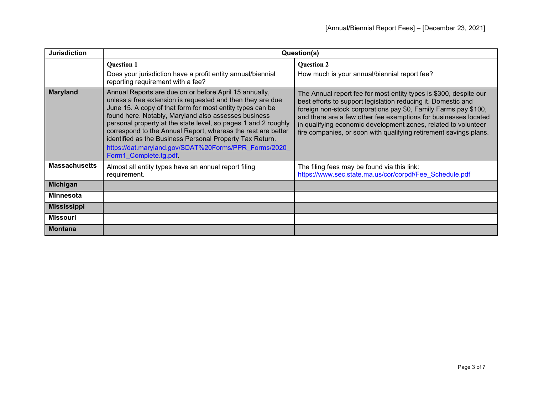| <b>Jurisdiction</b>  | Question(s)                                                                                                                                                                                                                                                                                                                                                                                                                                                                                                              |                                                                                                                                                                                                                                                                                                                                                                                                                 |
|----------------------|--------------------------------------------------------------------------------------------------------------------------------------------------------------------------------------------------------------------------------------------------------------------------------------------------------------------------------------------------------------------------------------------------------------------------------------------------------------------------------------------------------------------------|-----------------------------------------------------------------------------------------------------------------------------------------------------------------------------------------------------------------------------------------------------------------------------------------------------------------------------------------------------------------------------------------------------------------|
|                      | <b>Question 1</b><br>Does your jurisdiction have a profit entity annual/biennial<br>reporting requirement with a fee?                                                                                                                                                                                                                                                                                                                                                                                                    | <b>Question 2</b><br>How much is your annual/biennial report fee?                                                                                                                                                                                                                                                                                                                                               |
| <b>Maryland</b>      | Annual Reports are due on or before April 15 annually,<br>unless a free extension is requested and then they are due<br>June 15. A copy of that form for most entity types can be<br>found here. Notably, Maryland also assesses business<br>personal property at the state level, so pages 1 and 2 roughly<br>correspond to the Annual Report, whereas the rest are better<br>identified as the Business Personal Property Tax Return.<br>https://dat.maryland.gov/SDAT%20Forms/PPR Forms/2020<br>Form1 Complete.tg.pdf | The Annual report fee for most entity types is \$300, despite our<br>best efforts to support legislation reducing it. Domestic and<br>foreign non-stock corporations pay \$0, Family Farms pay \$100,<br>and there are a few other fee exemptions for businesses located<br>in qualifying economic development zones, related to volunteer<br>fire companies, or soon with qualifying retirement savings plans. |
| <b>Massachusetts</b> | Almost all entity types have an annual report filing<br>requirement.                                                                                                                                                                                                                                                                                                                                                                                                                                                     | The filing fees may be found via this link:<br>https://www.sec.state.ma.us/cor/corpdf/Fee Schedule.pdf                                                                                                                                                                                                                                                                                                          |
| <b>Michigan</b>      |                                                                                                                                                                                                                                                                                                                                                                                                                                                                                                                          |                                                                                                                                                                                                                                                                                                                                                                                                                 |
| Minnesota            |                                                                                                                                                                                                                                                                                                                                                                                                                                                                                                                          |                                                                                                                                                                                                                                                                                                                                                                                                                 |
| <b>Mississippi</b>   |                                                                                                                                                                                                                                                                                                                                                                                                                                                                                                                          |                                                                                                                                                                                                                                                                                                                                                                                                                 |
| <b>Missouri</b>      |                                                                                                                                                                                                                                                                                                                                                                                                                                                                                                                          |                                                                                                                                                                                                                                                                                                                                                                                                                 |
| <b>Montana</b>       |                                                                                                                                                                                                                                                                                                                                                                                                                                                                                                                          |                                                                                                                                                                                                                                                                                                                                                                                                                 |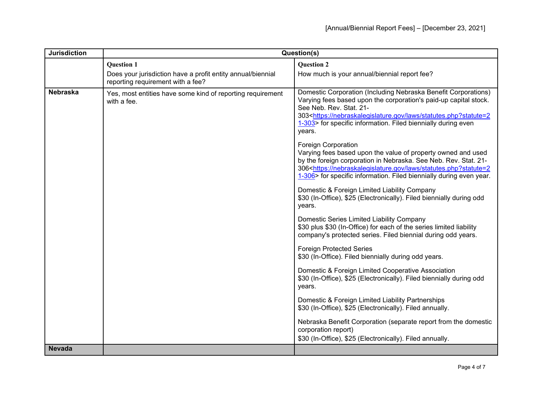| <b>Jurisdiction</b> | Question(s)                                                                                      |                                                                                                                                                                                                                                                                                                                                     |
|---------------------|--------------------------------------------------------------------------------------------------|-------------------------------------------------------------------------------------------------------------------------------------------------------------------------------------------------------------------------------------------------------------------------------------------------------------------------------------|
|                     | <b>Question 1</b>                                                                                | <b>Question 2</b>                                                                                                                                                                                                                                                                                                                   |
|                     | Does your jurisdiction have a profit entity annual/biennial<br>reporting requirement with a fee? | How much is your annual/biennial report fee?                                                                                                                                                                                                                                                                                        |
| Nebraska            | Yes, most entities have some kind of reporting requirement<br>with a fee.                        | Domestic Corporation (Including Nebraska Benefit Corporations)<br>Varying fees based upon the corporation's paid-up capital stock.<br>See Neb. Rev. Stat. 21-<br>303 <https: laws="" nebraskalegislature.gov="" statutes.php?statute="2&lt;br">1-303&gt; for specific information. Filed biennially during even<br/>years.</https:> |
|                     |                                                                                                  | <b>Foreign Corporation</b><br>Varying fees based upon the value of property owned and used<br>by the foreign corporation in Nebraska. See Neb. Rev. Stat. 21-<br>306 <https: laws="" nebraskalegislature.gov="" statutes.php?statute="2&lt;br">1-306&gt; for specific information. Filed biennially during even year.</https:>      |
|                     |                                                                                                  | Domestic & Foreign Limited Liability Company<br>\$30 (In-Office), \$25 (Electronically). Filed biennially during odd<br>years.                                                                                                                                                                                                      |
|                     |                                                                                                  | Domestic Series Limited Liability Company<br>\$30 plus \$30 (In-Office) for each of the series limited liability<br>company's protected series. Filed biennial during odd years.                                                                                                                                                    |
|                     |                                                                                                  | <b>Foreign Protected Series</b><br>\$30 (In-Office). Filed biennially during odd years.                                                                                                                                                                                                                                             |
|                     |                                                                                                  | Domestic & Foreign Limited Cooperative Association<br>\$30 (In-Office), \$25 (Electronically). Filed biennially during odd<br>years.                                                                                                                                                                                                |
|                     |                                                                                                  | Domestic & Foreign Limited Liability Partnerships<br>\$30 (In-Office), \$25 (Electronically). Filed annually.                                                                                                                                                                                                                       |
|                     |                                                                                                  | Nebraska Benefit Corporation (separate report from the domestic<br>corporation report)<br>\$30 (In-Office), \$25 (Electronically). Filed annually.                                                                                                                                                                                  |
| <b>Nevada</b>       |                                                                                                  |                                                                                                                                                                                                                                                                                                                                     |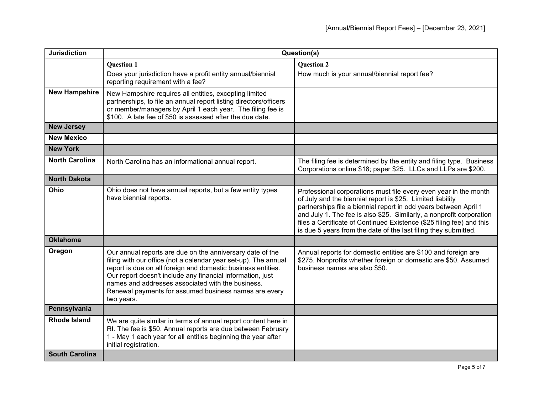| <b>Jurisdiction</b>   | Question(s)                                                                                                                                                                                                                                                                                                                                                                            |                                                                                                                                                                                                                                                                                                                                                                                                                        |
|-----------------------|----------------------------------------------------------------------------------------------------------------------------------------------------------------------------------------------------------------------------------------------------------------------------------------------------------------------------------------------------------------------------------------|------------------------------------------------------------------------------------------------------------------------------------------------------------------------------------------------------------------------------------------------------------------------------------------------------------------------------------------------------------------------------------------------------------------------|
|                       | <b>Question 1</b><br>Does your jurisdiction have a profit entity annual/biennial<br>reporting requirement with a fee?                                                                                                                                                                                                                                                                  | <b>Question 2</b><br>How much is your annual/biennial report fee?                                                                                                                                                                                                                                                                                                                                                      |
| <b>New Hampshire</b>  | New Hampshire requires all entities, excepting limited<br>partnerships, to file an annual report listing directors/officers<br>or member/managers by April 1 each year. The filing fee is<br>\$100. A late fee of \$50 is assessed after the due date.                                                                                                                                 |                                                                                                                                                                                                                                                                                                                                                                                                                        |
| <b>New Jersey</b>     |                                                                                                                                                                                                                                                                                                                                                                                        |                                                                                                                                                                                                                                                                                                                                                                                                                        |
| <b>New Mexico</b>     |                                                                                                                                                                                                                                                                                                                                                                                        |                                                                                                                                                                                                                                                                                                                                                                                                                        |
| <b>New York</b>       |                                                                                                                                                                                                                                                                                                                                                                                        |                                                                                                                                                                                                                                                                                                                                                                                                                        |
| <b>North Carolina</b> | North Carolina has an informational annual report.                                                                                                                                                                                                                                                                                                                                     | The filing fee is determined by the entity and filing type. Business<br>Corporations online \$18; paper \$25. LLCs and LLPs are \$200.                                                                                                                                                                                                                                                                                 |
| <b>North Dakota</b>   |                                                                                                                                                                                                                                                                                                                                                                                        |                                                                                                                                                                                                                                                                                                                                                                                                                        |
| Ohio                  | Ohio does not have annual reports, but a few entity types<br>have biennial reports.                                                                                                                                                                                                                                                                                                    | Professional corporations must file every even year in the month<br>of July and the biennial report is \$25. Limited liability<br>partnerships file a biennial report in odd years between April 1<br>and July 1. The fee is also \$25. Similarly, a nonprofit corporation<br>files a Certificate of Continued Existence (\$25 filing fee) and this<br>is due 5 years from the date of the last filing they submitted. |
| <b>Oklahoma</b>       |                                                                                                                                                                                                                                                                                                                                                                                        |                                                                                                                                                                                                                                                                                                                                                                                                                        |
| Oregon                | Our annual reports are due on the anniversary date of the<br>filing with our office (not a calendar year set-up). The annual<br>report is due on all foreign and domestic business entities.<br>Our report doesn't include any financial information, just<br>names and addresses associated with the business.<br>Renewal payments for assumed business names are every<br>two years. | Annual reports for domestic entities are \$100 and foreign are<br>\$275. Nonprofits whether foreign or domestic are \$50. Assumed<br>business names are also \$50.                                                                                                                                                                                                                                                     |
| Pennsylvania          |                                                                                                                                                                                                                                                                                                                                                                                        |                                                                                                                                                                                                                                                                                                                                                                                                                        |
| <b>Rhode Island</b>   | We are quite similar in terms of annual report content here in<br>RI. The fee is \$50. Annual reports are due between February<br>1 - May 1 each year for all entities beginning the year after<br>initial registration.                                                                                                                                                               |                                                                                                                                                                                                                                                                                                                                                                                                                        |
| <b>South Carolina</b> |                                                                                                                                                                                                                                                                                                                                                                                        |                                                                                                                                                                                                                                                                                                                                                                                                                        |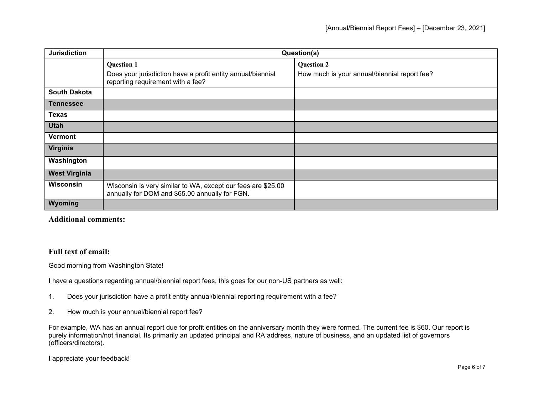| <b>Jurisdiction</b>  | Question(s)                                                                                                    |                                              |
|----------------------|----------------------------------------------------------------------------------------------------------------|----------------------------------------------|
|                      | <b>Question 1</b>                                                                                              | <b>Question 2</b>                            |
|                      | Does your jurisdiction have a profit entity annual/biennial<br>reporting requirement with a fee?               | How much is your annual/biennial report fee? |
| <b>South Dakota</b>  |                                                                                                                |                                              |
| Tennessee            |                                                                                                                |                                              |
| <b>Texas</b>         |                                                                                                                |                                              |
| <b>Utah</b>          |                                                                                                                |                                              |
| <b>Vermont</b>       |                                                                                                                |                                              |
| Virginia             |                                                                                                                |                                              |
| Washington           |                                                                                                                |                                              |
| <b>West Virginia</b> |                                                                                                                |                                              |
| <b>Wisconsin</b>     | Wisconsin is very similar to WA, except our fees are \$25.00<br>annually for DOM and \$65.00 annually for FGN. |                                              |
| Wyoming              |                                                                                                                |                                              |

## **Additional comments:**

## **Full text of email:**

Good morning from Washington State!

I have a questions regarding annual/biennial report fees, this goes for our non-US partners as well:

- 1. Does your jurisdiction have a profit entity annual/biennial reporting requirement with a fee?
- 2. How much is your annual/biennial report fee?

For example, WA has an annual report due for profit entities on the anniversary month they were formed. The current fee is \$60. Our report is purely information/not financial. Its primarily an updated principal and RA address, nature of business, and an updated list of governors (officers/directors).

I appreciate your feedback!